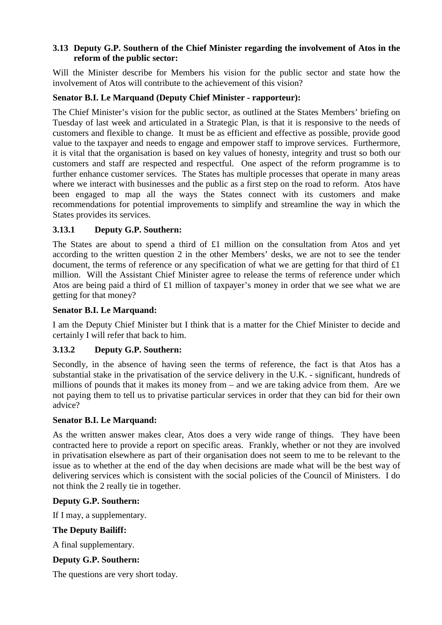### **3.13 Deputy G.P. Southern of the Chief Minister regarding the involvement of Atos in the reform of the public sector:**

Will the Minister describe for Members his vision for the public sector and state how the involvement of Atos will contribute to the achievement of this vision?

# **Senator B.I. Le Marquand (Deputy Chief Minister - rapporteur):**

The Chief Minister's vision for the public sector, as outlined at the States Members' briefing on Tuesday of last week and articulated in a Strategic Plan, is that it is responsive to the needs of customers and flexible to change. It must be as efficient and effective as possible, provide good value to the taxpayer and needs to engage and empower staff to improve services. Furthermore, it is vital that the organisation is based on key values of honesty, integrity and trust so both our customers and staff are respected and respectful. One aspect of the reform programme is to further enhance customer services. The States has multiple processes that operate in many areas where we interact with businesses and the public as a first step on the road to reform. Atos have been engaged to map all the ways the States connect with its customers and make recommendations for potential improvements to simplify and streamline the way in which the States provides its services.

# **3.13.1 Deputy G.P. Southern:**

The States are about to spend a third of £1 million on the consultation from Atos and yet according to the written question 2 in the other Members' desks, we are not to see the tender document, the terms of reference or any specification of what we are getting for that third of £1 million. Will the Assistant Chief Minister agree to release the terms of reference under which Atos are being paid a third of £1 million of taxpayer's money in order that we see what we are getting for that money?

### **Senator B.I. Le Marquand:**

I am the Deputy Chief Minister but I think that is a matter for the Chief Minister to decide and certainly I will refer that back to him.

## **3.13.2 Deputy G.P. Southern:**

Secondly, in the absence of having seen the terms of reference, the fact is that Atos has a substantial stake in the privatisation of the service delivery in the U.K. - significant, hundreds of millions of pounds that it makes its money from – and we are taking advice from them. Are we not paying them to tell us to privatise particular services in order that they can bid for their own advice?

## **Senator B.I. Le Marquand:**

As the written answer makes clear, Atos does a very wide range of things. They have been contracted here to provide a report on specific areas. Frankly, whether or not they are involved in privatisation elsewhere as part of their organisation does not seem to me to be relevant to the issue as to whether at the end of the day when decisions are made what will be the best way of delivering services which is consistent with the social policies of the Council of Ministers. I do not think the 2 really tie in together.

#### **Deputy G.P. Southern:**

If I may, a supplementary.

#### **The Deputy Bailiff:**

A final supplementary.

## **Deputy G.P. Southern:**

The questions are very short today.